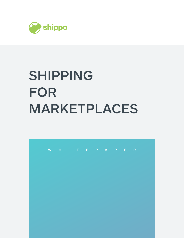

# SHIPPING FOR MARKETPLACES

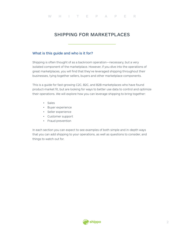# SHIPPING FOR MARKETPLACES

## What is this guide and who is it for?

Shipping is often thought of as a backroom operation—necessary, but a very isolated component of the marketplace. However, if you dive into the operations of great marketplaces, you will find that they've leveraged shipping throughout their businesses, tying together sellers, buyers and other marketplace components.

This is a guide for fast-growing C2C, B2C, and B2B marketplaces who have found product-market fit, but are looking for ways to better use data to control and optimize their operations. We will explore how you can leverage shipping to bring together:

- Sales
- Buyer experience
- Seller experience
- Customer support
- Fraud prevention

In each section you can expect to see examples of both simple and in-depth ways that you can add shipping to your operations, as well as questions to consider, and things to watch out for.

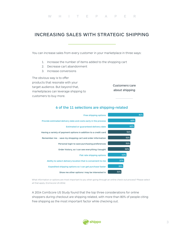# INCREASING SALES WITH STRATEGIC SHIPPING

You can increase sales from every customer in your marketplace in three ways:

- 1. Increase the number of items added to the shopping cart
- 2. Decrease cart abandonment
- 3. Increase conversions

The obvious way is to offer products that resonate with your target audience. But beyond that, marketplaces can leverage shipping to customers to buy more.

Customers care about shipping

## 6 of the 11 selections are shipping-related



What information or options are most important to you when going through an online check-out process? Please select all that apply. (Comscore US 2014)

A 2014 ComScore US Study found that the top three considerations for online shoppers during checkout are shipping related, with more than 80% of people citing free shipping as the most important factor while checking out.

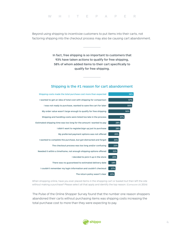#### WHITEPAPER

Beyond using shipping to incentivize customers to put items into their carts, not factoring shipping into the checkout process may also be causing cart abandonment.

> In fact, free shipping is so important to customers that 93% have taken actions to qualify for free shipping, 58% of whom added items to their cart specifically to qualify for free shipping.

# Shipping is the #1 reason for cart abandonment

| 58% | Shipping costs made the total purchase cost more than expected      |
|-----|---------------------------------------------------------------------|
| 57% | I wanted to get an idea of total cost with shipping for comparison  |
| 55% | I was not ready to purchase, wanted to save the cart for later      |
| 50% | My order value wasn't large enough to qualify for free shipping     |
| 37% | Shipping and handling costs were listed too late in the process     |
| 28% | Estimated shipping time was too long for the amount I wanted to pay |
| 28% | I didn't want to register/sign up just to purchase                  |
| 25% | My preferred payment options was not offered                        |
| 24% | I wanted to complete the purchase, but got distracted and forgot    |
| 23% | The checkout process was too long and/or confusing                  |
| 21% | Needed it within a timeframe, not enough shipping options offered   |
| 20% | I decided to pick it up in the store                                |
| 18% | There was no guaranteed to estimated delivery date                  |
| 17% | I couldn't remember my login information and couldn't checkout      |
| 15% | The return policy wasn't clear                                      |

When shopping online, have you ever placed items in the shopping cart or basket but then left the site without making a purchase? Please select all that apply and identify the top reason. (Comscore US 2014)

The Pulse of the Online Shopper Survey found that the number one reason shoppers abandoned their carts without purchasing items was shipping costs increasing the total purchase cost to more than they were expecting to pay.

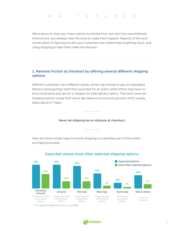We're about to show you many options to choose from, but don't be overwhelmed! Chances are, you already have the tools to make them happen. Majority of the work comes down to figuring out who your customers are, where they're getting stuck, and using shipping to help them make the decision.

# 1. Remove friction at checkout by offering several different shipping options

Diferent customers have diferent needs. Some may choose to pay for expedited delivery because they need their purchase for an event, while others may have no time constraints and opt for a cheaper (or free) delivery option. The most common shipping options range from same day delivery to economy ground, which usually takes about 5-7 days.

#### Never let shipping be an obstacle at checkout.

Here are three simple ways to ensure shipping is a seamless part of the online purchasing process.



#### Expected versus most often selected shipping options

— U.S.-based retailers (Comscore US 2016)

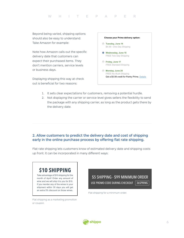Beyond being varied, shipping options should also be easy to understand. Take Amazon for example:

Note how Amazon calls out the specific delivery date that customers can expect their purchased items. They don't mention carriers, service levels or business days.

Displaying shipping this way at check out is beneficial for two reasons:



- 1. It sets clear expectations for customers, removing a potential hurdle.
- 2. Not displaying the carrier or service level gives sellers the flexibility to send the package with any shipping carrier, as long as the product gets there by the delivery date.

# 2. Allow customers to predict the delivery date and cost of shipping early in the online purchase process by offering flat rate shipping.

Flat rate shipping lets customers know of estimated delivery date and shipping costs up front. It can be incorporated in many diferent ways:

# **\$10 SHIPPING**

Take advantage of \$10 shipping for the month of April! Order any amount of wine and we will ship it to you for \$10. If you reorder any of the wines in your shipment within 30 days you will get an extra 5% discount on those wines.

Flat shipping as a marketing promotion or coupon.

\$5 SHIPPING - \$99 MINIMUM ORDER USE PROMO CODE DURING CHECKOUT | 36SPRING |

Flat shipping for a minimum order.

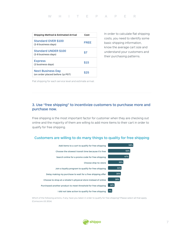#### WHITEPAPER

| Shipping Method & Estimated Arrival                         | Cost        |
|-------------------------------------------------------------|-------------|
| <b>Standard OVER \$100</b><br>(2-8 business days)           | <b>FRFF</b> |
| <b>Standard UNDER \$100</b><br>(2-8 business days)          | \$7         |
| <b>Express</b><br>(2 business days)                         | \$15        |
| <b>Next Business Day</b><br>(on order placed before 1p PST) | \$25        |

In order to calculate flat shipping costs, you need to identify some basic shipping information, know the average cart size and understand your customers and their purchasing patterns.

Flat shipping for each service level and estimate arrival.

# 3. Use "free shipping" to incentivize customers to purchase more and purchase now.

Free shipping is the most important factor for customer when they are checking out online and the majority of them are willing to add more items to their cart in order to qualify for free shipping.

## Customers are willing to do many things to quality for free shipping



Which of the following actions, if any, have you taken in order to qualify for free shipping? Please select all that apply. (Comscore US 2014)

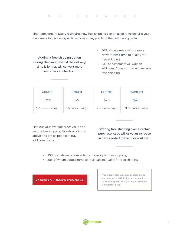The ComScore US Study highlights how free shipping can be used to incentivize your customers to perform specific actions at key points of the purchasing cycle.

Adding a free shipping option during checkout, even if the delivery time is longer, will convert more customers at checkout.

- 50% of customers will choose a slower transit time to qualify for free shipping.
- 83% of customers will wait an additional 2 days or more to receive free shipping.

| Ground            | Regular           | <b>Express</b>  | Overnight         |
|-------------------|-------------------|-----------------|-------------------|
| Free              | \$6               | \$25            | \$40              |
| 6-8 business days | 3-5 business days | 2 business days | Next business day |

Find out your average order value and set the free shipping threshold slightly above it to entice people to buy additional items.

Offering free shipping over a certain purchase value will drive an increase in items added to the checkout cart.

- 93% of customers take actions to qualify for free shipping.
- 58% of whom added items to their cart to qualify for free shipping.

On orders \$75+, FREE Shipping to the US.

Free shipping for U.S.-based customers on any orders over \$80. Orders are shipped via USPS Priority Mail, and typically arrive within 1-3 business days.

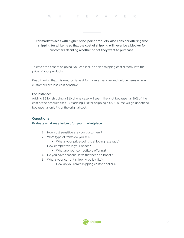For marketplaces with higher price-point products, also consider offering free shipping for all items so that the cost of shipping will never be a blocker for customers deciding whether or not they want to purchase.

To cover the cost of shipping, you can include a flat shipping cost directly into the price of your products.

Keep in mind that this method is best for more expensive and unique items where customers are less cost sensitive.

#### For instance:

Adding \$5 for shipping a \$10 phone case will seem like a lot because it's 50% of the cost of the product itself. But adding \$20 for shipping a \$500 purse will go unnoticed because it's only 4% of the original cost.

#### **Questions**

#### Evaluate what may be best for your marketplace

- 1. How cost sensitive are your customers?
- 2. What type of items do you sell?
	- What's your price-point to shipping rate ratio?
- 3. How competitive is your space?
	- What are your competitors offering?
- 4. Do you have seasonal lows that needs a boost?
- 5. What's your current shipping policy like?
	- How do you remit shipping costs to sellers?

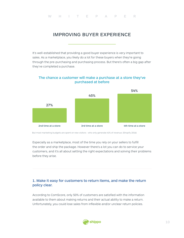# IMPROVING BUYER EXPERIENCE

It's well-established that providing a good buyer experience is very important to sales. As a marketplace, you likely do a lot for these buyers when they're going through the pre-purchasing and purchasing process. But there's often a big gap after they've completed a purchase.

## The chance a customer will make a purchase at a store they've purchased at before



But most marketing budgets are spent on new visitors - who only generate 41% of revenue. (Shopify 2016)

Especially as a marketplace, most of the time you rely on your sellers to fulfill the order and ship the package. However there's a lot you can do to service your customers, and it's all about setting the right expectations and solving their problems before they arise.

# 1. Make it easy for customers to return items, and make the return policy clear.

According to ComScore, only 50% of customers are satisfied with the information available to them about making returns and their actual ability to make a return. Unfortunately, you could lose sales from inflexible and/or unclear return policies.

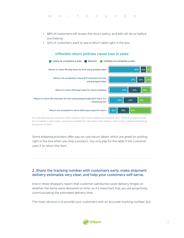- 88% of customers will review the return policy, and 66% will do so before purchasing.
- 52% of customers want to see a return label right in the box.



#### You indicated that you look at an online retailer's return policy before purchasing an item. Thinking of what you look for in a retailer's return policy, would you complete the sale online if the retailer's "return policy" stated the following? (Comscore US 2014)

Some shipping providers offer pay-on-use return labels, which are great for putting right in the box when you ship a product. You only pay for the label if the customer uses it to return the item.

# 2. Share the tracking number with customers early, make shipment delivery estimates very clear, and help your customers self-serve.

One in three shoppers report that customer satisfaction post-delivery hinges on whether the items were delivered on time, so it's important that you are proactively communicating the estimated delivery time.

The most obvious is to provide your customers with an accurate tracking number, but

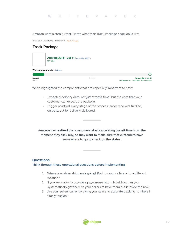Amazon went a step further. Here's what their Track Package page looks like:

Your Account > Your Orders > Order Details > Track Package

# Track Package



We've highlighted the components that are especially important to note:

- Expected delivery date: not just "transit time" but the date that your customer can expect the package.
- Trigger points at every stage of the process: order received, fulfilled, enroute, out for delivery, delivered.

Amazon has realized that customers start calculating transit time from the moment they click buy, so they want to make sure that customers have somewhere to go to check on the status.

## **Questions**

#### Think through these operational questions before implementing

- 1. Where are return shipments going? Back to your sellers or to a diferent location?
- 2. If you were able to provide a pay-on-use return label, how can you systematically get them to your sellers to have them put it inside the box?
- 3. Are your sellers currently giving you valid and accurate tracking numbers in timely fashion?

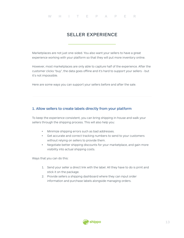# SELLER EXPERIENCE

Marketplaces are not just one-sided. You also want your sellers to have a great experience working with your platform so that they will put more inventory online.

However, most marketplaces are only able to capture half of the experience. After the customer clicks "buy", the data goes offline and it's hard to support your sellers - but it's not impossible.

Here are some ways you can support your sellers before and after the sale.

## 1. Allow sellers to create labels directly from your platform

To keep the experience consistent, you can bring shipping in-house and walk your sellers through the shipping process. This will also help you:

- Minimize shipping errors such as bad addresses.
- Get accurate and correct tracking numbers to send to your customers without relying on sellers to provide them.
- Negotiate better shipping discounts for your marketplace, and gain more visibility into actual shipping costs.

Ways that you can do this:

- 1. Send your seller a direct link with the label. All they have to do is print and stick it on the package.
- 2. Provide sellers a shipping dashboard where they can input order information and purchase labels alongside managing orders.

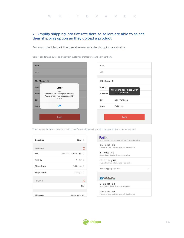# 2. Simplify shipping into flat-rate tiers so sellers are able to select their shipping option as they upload a product

For example: Mercari, the peer-to-peer mobile shopping application

Collect sender and buyer address from customer profiles first, and verifies them.

| Shan           |                                                                                 | Shan         |                |                         |
|----------------|---------------------------------------------------------------------------------|--------------|----------------|-------------------------|
| Lian           |                                                                                 | Lian         |                |                         |
|                |                                                                                 |              |                |                         |
| 465 Mission St |                                                                                 |              | 965 Mission St |                         |
| Ste 4:         | Error                                                                           | Ste 425      |                | We've standardized your |
| ZIP cc         | Oops!<br>We could not verify your address.<br>Please check your address and try | ZIP code     |                | address.<br>9410        |
| City           | again.                                                                          | City         |                | San Francisco           |
| <b>State</b>   | OK                                                                              | <b>State</b> |                | California              |
|                |                                                                                 |              |                |                         |
|                | <b>Save</b>                                                                     |              |                | <b>Save</b>             |
|                |                                                                                 |              |                |                         |

When sellers list items, they choose from 4 diferent shipping tiers, with suggested items that works well.

| Condition           | New $>$                                 |   |
|---------------------|-----------------------------------------|---|
| <b>SHIPPING</b>     |                                         | Œ |
| Fee                 | USPS 0 - 0.5 lbs / \$4<br>$\rightarrow$ |   |
| Paid by             | Seller >                                |   |
| <b>Ships from</b>   | California >                            |   |
| <b>Ships within</b> | 1-2 days $>$                            |   |
| <b>PRICING</b>      |                                         | C |
|                     | \$0                                     |   |
| Shipping            | Seller pays \$4                         |   |

| FedEx.<br>\$100 insuarance, better tracking, & safer handling       |  |
|---------------------------------------------------------------------|--|
| $0.5 - 3$ lbs / \$6<br>Purses, shoes, clothing, & small electronics |  |
| 3 - 10 lbs / \$9<br>Coats, bags, boots, & game consoles             |  |
| 10 - 20 lbs / \$15<br>Musical instruments & large electronics       |  |
| View shipping options                                               |  |
| <b>UNITED STATES</b>                                                |  |
| $0 - 0.5$ lbs / \$4<br>Accessories, hats, & beauty products         |  |
| $0.5 - 3$ lbs / \$6<br>Purses, shoes, clothing, & small electronics |  |

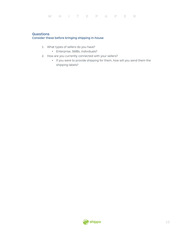# **Questions**

#### Consider these before bringing shipping in-house

- 1. What types of sellers do you have?
	- Enterprise, SMBs, individuals?
- 2. How are you currently connected with your sellers?
	- If you were to provide shipping for them, how will you send them the shipping labels?

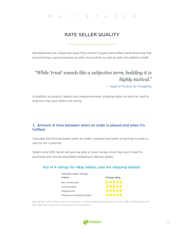# RATE SELLER QUALITY

Marketplaces are unique because they connect buyers and sellers while ensuring that everyone has a good experience with one another as well as with the platform itself.

# *"While 'trust' sounds like a subjective term, building it is highly tactical."*

— Head of Product at ThreadFlip

In addition to product quality and responsiveness, shipping data can also be used to examine how your sellers are doing.

### 1. Amount of time between when an order is placed and when it's fulfilled

Calculate the time between when an order is placed and when a tracking number is sent to the customer.

Sellers who fulfill faster will also be able to save money since they won't need to purchase last-minute expedited shipping to delivery goals.

## Out of 4 ratings for eBay Sellers, two are shipping related.

| Detailed seller ratings       |                |
|-------------------------------|----------------|
| Criteria                      | Average rating |
| Item as described             | *****          |
| Communication                 | *****          |
| Shipping time                 | *****          |
| Shipping and handling charges |                |

eBay advises: "Offer either same business day or 1 business day handling whenever you can. Offer handling times that are longer than 1 day only for exceptions and special items."

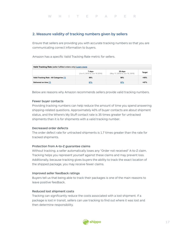#### 2. Measure validity of tracking numbers given by sellers

Ensure that sellers are providing you with accurate tracking numbers so that you are communicating correct information to buyers.

Amazon has a specific Valid Tracking Rate metric for sellers.

| Valid Tracking Rate (seller fulfilled orders only) Learn more |                                        |                                           |               |  |
|---------------------------------------------------------------|----------------------------------------|-------------------------------------------|---------------|--|
|                                                               | 7 days<br>(Jun 9, 2016 to Jun 16 2016) | 30 days<br>(May 17, 2016 to Jun 16, 2016) | <b>Target</b> |  |
| Valid Tracking Rate - All Categories [?]                      | 98%                                    | 98%                                       | >95%          |  |
| Delivered on time [?]                                         | 97%                                    | 97%                                       | >97%          |  |

Below are reasons why Amazon recommends sellers provide valid tracking numbers.

#### Fewer buyer contacts

Providing tracking numbers can help reduce the amount of time you spend answering shipping-related questions. Approximately 40% of buyer contacts are about shipment status, and the Where's My Stuf contact rate is 35 times greater for untracked shipments than it is for shipments with a valid tracking number.

#### Decreased order defects

The order defect rate for untracked shipments is 1.7 times greater than the rate for tracked shipments.

#### Protection from A-to-Z guarantee claims

Without tracking, a seller automatically loses any "Order not received" A-to-Z claim. Tracking helps you represent yourself against these claims and may prevent loss. Additionally, because tracking gives buyers the ability to track the exact location of the shipped package, you may receive fewer claims.

#### Improved seller feedback ratings

Buyers tell us that being able to track their packages is one of the main reasons to leave positive feedback.

#### Reduced lost shipment costs

Tracking can significantly reduce the costs associated with a lost shipment. If a package is lost in transit, sellers can use tracking to find out where it was lost and then determine responsibility.

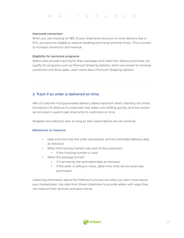#### Improved conversion

When you use tracking on 98% of your shipments and your on-time delivery rate is 97%, you become eligible to reduce handling and transit promise times. This is proven to increase conversion and revenue.

#### Eligibility for exclusive programs

Sellers who provide tracking for their packages and meet their delivery promises can qualify for programs such as Premium Shipping Options, which are proven to increase conversion and drive sales. Learn more about Premium Shipping Options.

## 3. Track if an order is delivered on-time

48% of customer find guaranteed delivery dates important when checking out online. (ComScore US 2016) so it's important that sellers are fulfilling quickly, and the correct service level is used to get shipments to customers on time.

Shoppers are willing to wait, so long as their expectations are set correctly.

#### Milestones to measure:

- Date and time that the order was placed, and the estimated delivery date at checkout
- When the tracking number was sent to the customers
	- If the tracking number is valid
- When the package arrived
	- If it arrived by the estimated date at checkout
	- If the seller is willing to share, determine what service level was purchased.

Collecting information about the fulfillment process can allow you learn more about your marketplace. Use data from these milestones to provide sellers with ways they can improve their services and save money.

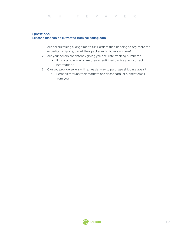## **Questions**

#### Lessons that can be extracted from collecting data

- 1. Are sellers taking a long time to fulfill orders then needing to pay more for expedited shipping to get their packages to buyers on time?
- 2. Are your sellers consistently giving you accurate tracking numbers?
	- If it's a problem, why are they incentivized to give you incorrect information?
- 3. Can you provide sellers with an easier way to purchase shipping labels?
	- Perhaps through their marketplace dashboard, or a direct email from you.

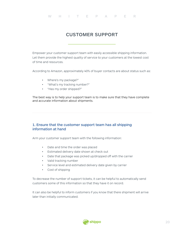# CUSTOMER SUPPORT

Empower your customer support team with easily accessible shipping information. Let them provide the highest quality of service to your customers at the lowest cost of time and resources.

According to Amazon, approximately 40% of buyer contacts are about status such as:

- Where's my package?"
- "What's my tracking number?"
- "Has my order shipped?"

The best way is to help your support team is to make sure that they have complete and accurate information about shipments.

# 1. Ensure that the customer support team has all shipping information at hand

Arm your customer support team with the following information:

- Date and time the order was placed
- Estimated delivery date shown at check out
- Date that package was picked up/dropped off with the carrier
- Valid tracking number
- Service level and estimated delivery date given by carrier
- Cost of shipping

To decrease the number of support tickets, it can be helpful to automatically send customers some of this information so that they have it on record.

It can also be helpful to inform customers if you know that there shipment will arrive later than initially communicated.

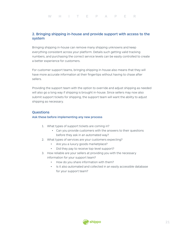## 2. Bringing shipping in-house and provide support with access to the system

Bringing shipping in-house can remove many shipping unknowns and keep everything consistent across your platform. Details such getting valid tracking numbers, and purchasing the correct service levels can be easily controlled to create a better experience for customers.

For customer support teams, bringing shipping in-house also means that they will have more accurate information at their fingertips without having to chase after sellers.

Providing the support team with the option to override and adjust shipping as needed will also go a long way if shipping is brought in-house. Since sellers may now also submit support tickets for shipping, the support team will want the ability to adjust shipping as necessary.

### **Questions**

#### Ask these before implementing any new process

- 1. What types of support tickets are coming in?
	- Can you provide customers with the answers to their questions before they ask in an automated way?
- 2. What types of services are your customers expecting?
	- Are you a luxury goods marketplace?
	- Did they pay to receive top-level support?
- 3. How reliable are your sellers at providing you with the necessary information for your support team?
	- How do you share information with them?
	- Is it also automated and collected in an easily accessible database for your support team?

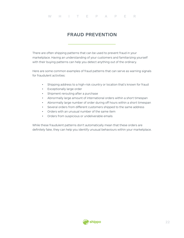# FRAUD PREVENTION

There are often shipping patterns that can be used to prevent fraud in your marketplace. Having an understanding of your customers and familiarizing yourself with their buying patterns can help you detect anything out of the ordinary.

Here are some common examples of fraud patterns that can serve as warning signals for fraudulent activities:

- Shipping address to a high-risk country or location that's known for fraud
- Exceptionally large order
- Shipment rerouting after a purchase
- Abnormally large amount of international orders within a short timespan
- Abnormally large number of order during off hours within a short timespan
- Several orders from diferent customers shipped to the same address
- Orders with an unusual number of the same item
- Orders from suspicious or undeliverable emails

While these fraudulent patterns don't automatically mean that these orders are definitely fake, they can help you identify unusual behaviours within your marketplace.

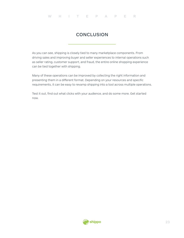# **CONCLUSION**

As you can see, shipping is closely tied to many marketplace components. From driving sales and improving buyer and seller experiences to internal operations such as seller rating, customer support, and fraud, the entire online shopping experience can be tied together with shipping.

Many of these operations can be improved by collecting the right information and presenting them in a diferent format. Depending on your resources and specific requirements, it can be easy to revamp shipping into a tool across multiple operations.

Test it out, find out what clicks with your audience, and do some more. Get started now.